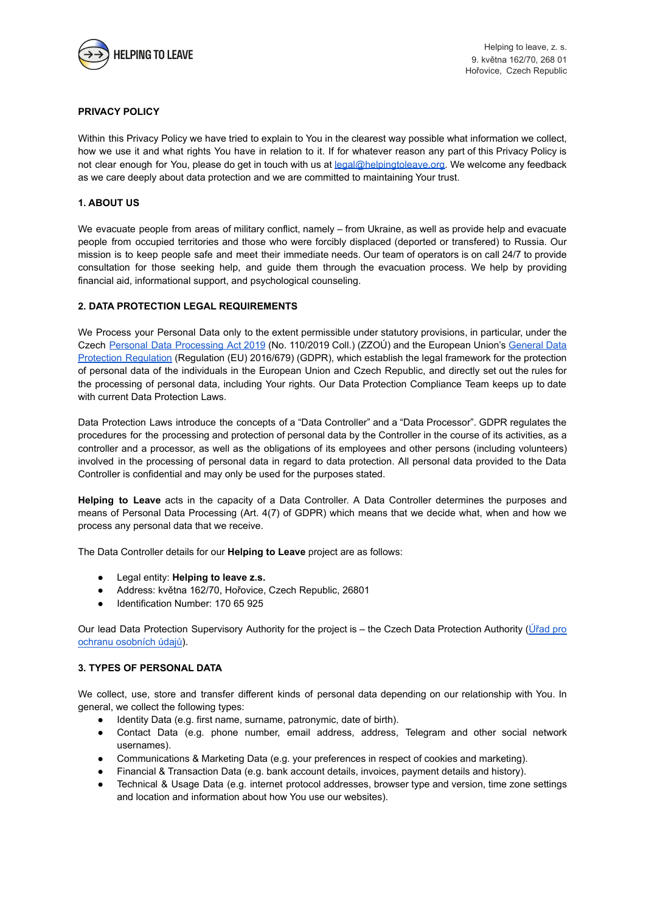

## **PRIVACY POLICY**

Within this Privacy Policy we have tried to explain to You in the clearest way possible what information we collect, how we use it and what rights You have in relation to it. If for whatever reason any part of this Privacy Policy is not clear enough for You, please do get in touch with us at [legal@helpingtoleave.org.](mailto:legal@helpingtoleave.org) We welcome any feedback as we care deeply about data protection and we are committed to maintaining Your trust.

### **1. ABOUT US**

We evacuate people from areas of military conflict, namely – from Ukraine, as well as provide help and evacuate people from occupied territories and those who were forcibly displaced (deported or transfered) to Russia. Our mission is to keep people safe and meet their immediate needs. Our team of operators is on call 24/7 to provide consultation for those seeking help, and guide them through the evacuation process. We help by providing financial aid, informational support, and psychological counseling.

### **2. DATA PROTECTION LEGAL REQUIREMENTS**

We Process your Personal Data only to the extent permissible under statutory provisions, in particular, under the Czech Personal Data [Processing](https://www.uoou.cz/en/vismo/zobraz_dok.asp?id_org=200156&id_ktg=1420&archiv=0&p1=1105) Act 2019 (No. 110/2019 Coll.) (ZZOÚ) and the European Union's [General](https://gdpr-info.eu) Data Protection [Regulation](https://gdpr-info.eu) (Regulation (EU) 2016/679) (GDPR), which establish the legal framework for the protection of personal data of the individuals in the European Union and Czech Republic, and directly set out the rules for the processing of personal data, including Your rights. Our Data Protection Compliance Team keeps up to date with current Data Protection Laws.

Data Protection Laws introduce the concepts of a "Data Controller" and a "Data Processor". GDPR regulates the procedures for the processing and protection of personal data by the Controller in the course of its activities, as a controller and a processor, as well as the obligations of its employees and other persons (including volunteers) involved in the processing of personal data in regard to data protection. All personal data provided to the Data Controller is confidential and may only be used for the purposes stated.

**Helping to Leave** acts in the capacity of a Data Controller. A Data Controller determines the purposes and means of Personal Data Processing (Art. 4(7) of GDPR) which means that we decide what, when and how we process any personal data that we receive.

The Data Controller details for our **Helping to Leave** project are as follows:

- Legal entity: **Helping to leave z.s.**
- Address: května 162/70, Hořovice, Czech Republic, 26801
- Identification Number: 170 65 925

Our lead Data Protection Supervisory Authority for the project is – the Czech Data Protection Authority ([Úřad](https://www.uoou.cz/) pro [ochranu osobních údajů](https://www.uoou.cz/)).

### **3. TYPES OF PERSONAL DATA**

We collect, use, store and transfer different kinds of personal data depending on our relationship with You. In general, we collect the following types:

- Identity Data (e.g. first name, surname, patronymic, date of birth).
- Contact Data (e.g. phone number, email address, address, Telegram and other social network usernames).
- Communications & Marketing Data (e.g. your preferences in respect of cookies and marketing).
- Financial & Transaction Data (e.g. bank account details, invoices, payment details and history).
- Technical & Usage Data (e.g. internet protocol addresses, browser type and version, time zone settings and location and information about how You use our websites).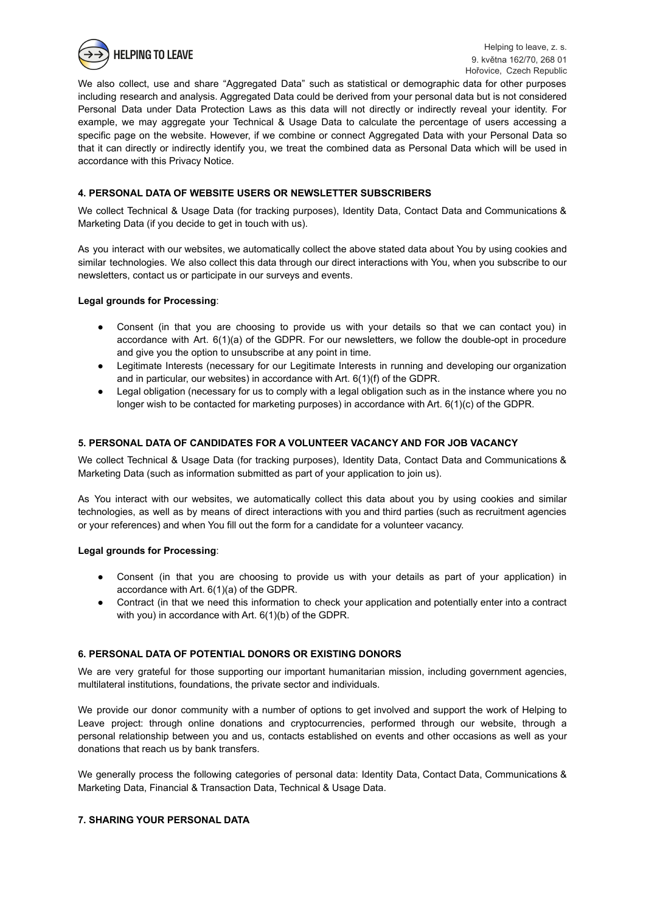

We also collect, use and share "Aggregated Data" such as statistical or demographic data for other purposes including research and analysis. Aggregated Data could be derived from your personal data but is not considered Personal Data under Data Protection Laws as this data will not directly or indirectly reveal your identity. For example, we may aggregate your Technical & Usage Data to calculate the percentage of users accessing a specific page on the website. However, if we combine or connect Aggregated Data with your Personal Data so that it can directly or indirectly identify you, we treat the combined data as Personal Data which will be used in accordance with this Privacy Notice.

# **4. PERSONAL DATA OF WEBSITE USERS OR NEWSLETTER SUBSCRIBERS**

We collect Technical & Usage Data (for tracking purposes), Identity Data, Contact Data and Communications & Marketing Data (if you decide to get in touch with us).

As you interact with our websites, we automatically collect the above stated data about You by using cookies and similar technologies. We also collect this data through our direct interactions with You, when you subscribe to our newsletters, contact us or participate in our surveys and events.

### **Legal grounds for Processing**:

- Consent (in that you are choosing to provide us with your details so that we can contact you) in accordance with Art. 6(1)(a) of the GDPR. For our newsletters, we follow the double-opt in procedure and give you the option to unsubscribe at any point in time.
- Legitimate Interests (necessary for our Legitimate Interests in running and developing our organization and in particular, our websites) in accordance with Art. 6(1)(f) of the GDPR.
- Legal obligation (necessary for us to comply with a legal obligation such as in the instance where you no longer wish to be contacted for marketing purposes) in accordance with Art. 6(1)(c) of the GDPR.

### **5. PERSONAL DATA OF CANDIDATES FOR A VOLUNTEER VACANCY AND FOR JOB VACANCY**

We collect Technical & Usage Data (for tracking purposes), Identity Data, Contact Data and Communications & Marketing Data (such as information submitted as part of your application to join us).

As You interact with our websites, we automatically collect this data about you by using cookies and similar technologies, as well as by means of direct interactions with you and third parties (such as recruitment agencies or your references) and when You fill out the form for a candidate for a volunteer vacancy.

#### **Legal grounds for Processing**:

- Consent (in that you are choosing to provide us with your details as part of your application) in accordance with Art. 6(1)(a) of the GDPR.
- Contract (in that we need this information to check your application and potentially enter into a contract with you) in accordance with Art. 6(1)(b) of the GDPR.

#### **6. PERSONAL DATA OF POTENTIAL DONORS OR EXISTING DONORS**

We are very grateful for those supporting our important humanitarian mission, including government agencies, multilateral institutions, foundations, the private sector and individuals.

We provide our donor community with a number of options to get involved and support the work of Helping to Leave project: through online donations and cryptocurrencies, performed through our website, through a personal relationship between you and us, contacts established on events and other occasions as well as your donations that reach us by bank transfers.

We generally process the following categories of personal data: Identity Data, Contact Data, Communications & Marketing Data, Financial & Transaction Data, Technical & Usage Data.

#### **7. SHARING YOUR PERSONAL DATA**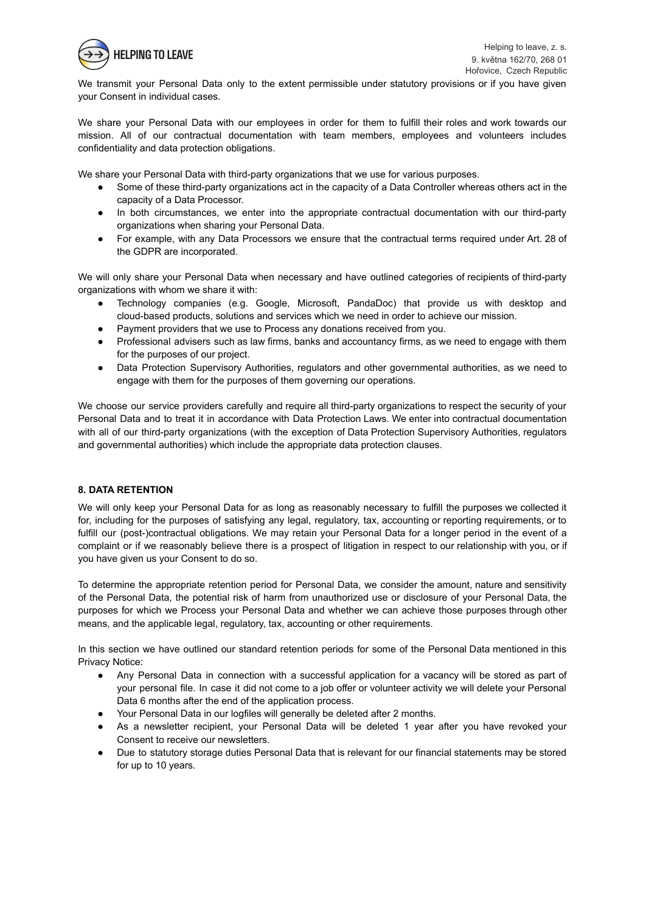

We transmit your Personal Data only to the extent permissible under statutory provisions or if you have given your Consent in individual cases.

We share your Personal Data with our employees in order for them to fulfill their roles and work towards our mission. All of our contractual documentation with team members, employees and volunteers includes confidentiality and data protection obligations.

We share your Personal Data with third-party organizations that we use for various purposes.

- Some of these third-party organizations act in the capacity of a Data Controller whereas others act in the capacity of a Data Processor.
- In both circumstances, we enter into the appropriate contractual documentation with our third-party organizations when sharing your Personal Data.
- For example, with any Data Processors we ensure that the contractual terms required under Art. 28 of the GDPR are incorporated.

We will only share your Personal Data when necessary and have outlined categories of recipients of third-party organizations with whom we share it with:

- Technology companies (e.g. Google, Microsoft, PandaDoc) that provide us with desktop and cloud-based products, solutions and services which we need in order to achieve our mission.
- Payment providers that we use to Process any donations received from you.
- Professional advisers such as law firms, banks and accountancy firms, as we need to engage with them for the purposes of our project.
- Data Protection Supervisory Authorities, regulators and other governmental authorities, as we need to engage with them for the purposes of them governing our operations.

We choose our service providers carefully and require all third-party organizations to respect the security of your Personal Data and to treat it in accordance with Data Protection Laws. We enter into contractual documentation with all of our third-party organizations (with the exception of Data Protection Supervisory Authorities, regulators and governmental authorities) which include the appropriate data protection clauses.

#### **8. DATA RETENTION**

We will only keep your Personal Data for as long as reasonably necessary to fulfill the purposes we collected it for, including for the purposes of satisfying any legal, regulatory, tax, accounting or reporting requirements, or to fulfill our (post-)contractual obligations. We may retain your Personal Data for a longer period in the event of a complaint or if we reasonably believe there is a prospect of litigation in respect to our relationship with you, or if you have given us your Consent to do so.

To determine the appropriate retention period for Personal Data, we consider the amount, nature and sensitivity of the Personal Data, the potential risk of harm from unauthorized use or disclosure of your Personal Data, the purposes for which we Process your Personal Data and whether we can achieve those purposes through other means, and the applicable legal, regulatory, tax, accounting or other requirements.

In this section we have outlined our standard retention periods for some of the Personal Data mentioned in this Privacy Notice:

- Any Personal Data in connection with a successful application for a vacancy will be stored as part of your personal file. In case it did not come to a job offer or volunteer activity we will delete your Personal Data 6 months after the end of the application process.
- Your Personal Data in our logfiles will generally be deleted after 2 months.
- As a newsletter recipient, your Personal Data will be deleted 1 year after you have revoked your Consent to receive our newsletters.
- Due to statutory storage duties Personal Data that is relevant for our financial statements may be stored for up to 10 years.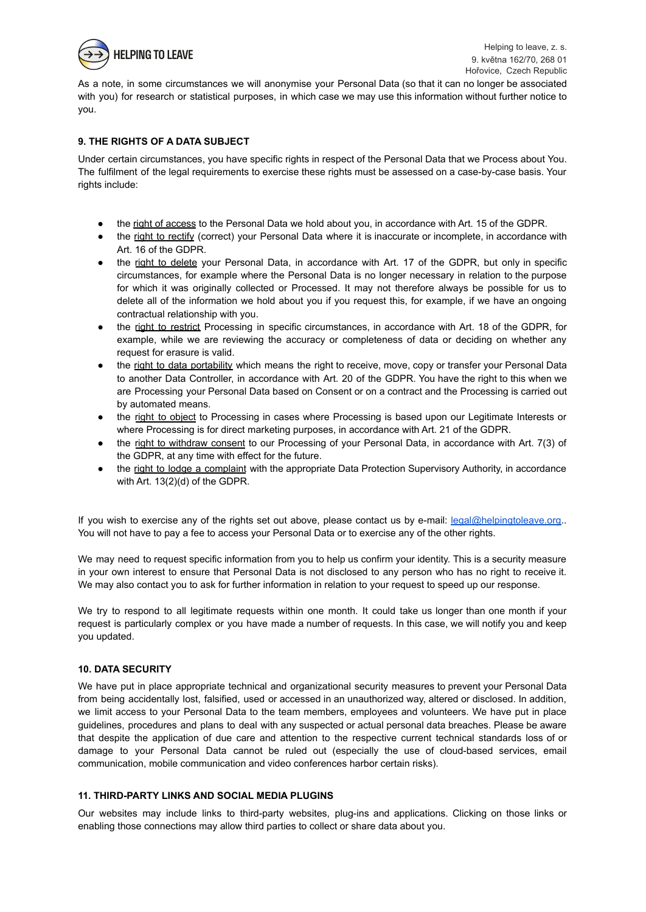

As a note, in some circumstances we will anonymise your Personal Data (so that it can no longer be associated with you) for research or statistical purposes, in which case we may use this information without further notice to you.

## **9. THE RIGHTS OF A DATA SUBJECT**

Under certain circumstances, you have specific rights in respect of the Personal Data that we Process about You. The fulfilment of the legal requirements to exercise these rights must be assessed on a case-by-case basis. Your rights include:

- the right of access to the Personal Data we hold about you, in accordance with Art. 15 of the GDPR.
- the right to rectify (correct) your Personal Data where it is inaccurate or incomplete, in accordance with Art. 16 of the GDPR.
- the right to delete your Personal Data, in accordance with Art. 17 of the GDPR, but only in specific circumstances, for example where the Personal Data is no longer necessary in relation to the purpose for which it was originally collected or Processed. It may not therefore always be possible for us to delete all of the information we hold about you if you request this, for example, if we have an ongoing contractual relationship with you.
- the right to restrict Processing in specific circumstances, in accordance with Art. 18 of the GDPR, for example, while we are reviewing the accuracy or completeness of data or deciding on whether any request for erasure is valid.
- the right to data portability which means the right to receive, move, copy or transfer your Personal Data to another Data Controller, in accordance with Art. 20 of the GDPR. You have the right to this when we are Processing your Personal Data based on Consent or on a contract and the Processing is carried out by automated means.
- the right to object to Processing in cases where Processing is based upon our Legitimate Interests or where Processing is for direct marketing purposes, in accordance with Art. 21 of the GDPR.
- the right to withdraw consent to our Processing of your Personal Data, in accordance with Art. 7(3) of the GDPR, at any time with effect for the future.
- the right to lodge a complaint with the appropriate Data Protection Supervisory Authority, in accordance with Art. 13(2)(d) of the GDPR.

If you wish to exercise any of the rights set out above, please contact us by e-mail: [legal@helpingtoleave.org.](mailto:legal@helpingtoleave.org). You will not have to pay a fee to access your Personal Data or to exercise any of the other rights.

We may need to request specific information from you to help us confirm your identity. This is a security measure in your own interest to ensure that Personal Data is not disclosed to any person who has no right to receive it. We may also contact you to ask for further information in relation to your request to speed up our response.

We try to respond to all legitimate requests within one month. It could take us longer than one month if your request is particularly complex or you have made a number of requests. In this case, we will notify you and keep you updated.

## **10. DATA SECURITY**

We have put in place appropriate technical and organizational security measures to prevent your Personal Data from being accidentally lost, falsified, used or accessed in an unauthorized way, altered or disclosed. In addition, we limit access to your Personal Data to the team members, employees and volunteers. We have put in place guidelines, procedures and plans to deal with any suspected or actual personal data breaches. Please be aware that despite the application of due care and attention to the respective current technical standards loss of or damage to your Personal Data cannot be ruled out (especially the use of cloud-based services, email communication, mobile communication and video conferences harbor certain risks).

## **11. THIRD-PARTY LINKS AND SOCIAL MEDIA PLUGINS**

Our websites may include links to third-party websites, plug-ins and applications. Clicking on those links or enabling those connections may allow third parties to collect or share data about you.